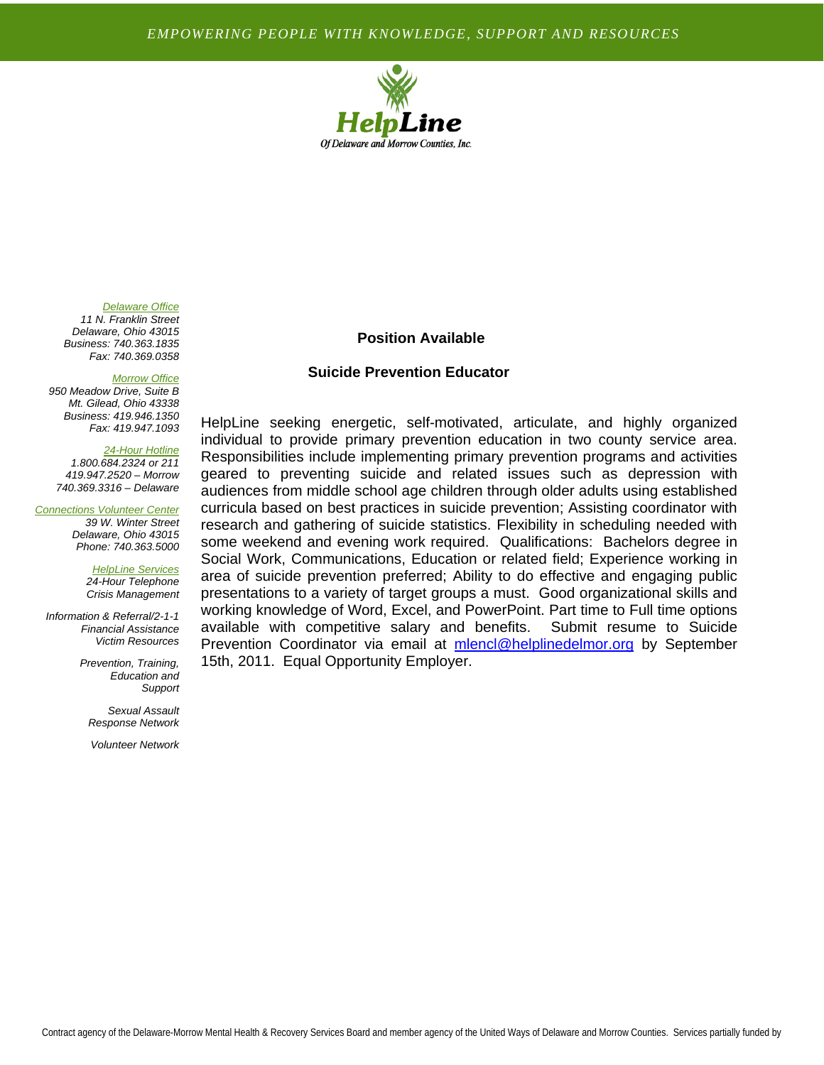## *EMPOWERING PEOPLE WITH KNOWLEDGE, SUPPORT AND RESOURCES*



### *Delaware Office*

*11 N. Franklin Street Delaware, Ohio 43015 Business: 740.363.1835 Fax: 740.369.0358* 

#### *Morrow Office*

*950 Meadow Drive, Suite B Mt. Gilead, Ohio 43338 Business: 419.946.1350 Fax: 419.947.1093* 

### *24-Hour Hotline*

*1.800.684.2324 or 211 419.947.2520 – Morrow 740.369.3316 – Delaware* 

*Connections Volunteer Center 39 W. Winter Street* 

*Delaware, Ohio 43015 Phone: 740.363.5000* 

*HelpLine Services 24-Hour Telephone Crisis Management* 

*Information & Referral/2-1-1 Financial Assistance Victim Resources* 

> *Prevention, Training, Education and Support*

*Sexual Assault Response Network* 

*Volunteer Network* 

# **Position Available**

## **Suicide Prevention Educator**

HelpLine seeking energetic, self-motivated, articulate, and highly organized individual to provide primary prevention education in two county service area. Responsibilities include implementing primary prevention programs and activities geared to preventing suicide and related issues such as depression with audiences from middle school age children through older adults using established curricula based on best practices in suicide prevention; Assisting coordinator with research and gathering of suicide statistics. Flexibility in scheduling needed with some weekend and evening work required. Qualifications: Bachelors degree in Social Work, Communications, Education or related field; Experience working in area of suicide prevention preferred; Ability to do effective and engaging public presentations to a variety of target groups a must. Good organizational skills and working knowledge of Word, Excel, and PowerPoint. Part time to Full time options available with competitive salary and benefits. Submit resume to Suicide Prevention Coordinator via email at mlencl@helplinedelmor.org by September 15th, 2011. Equal Opportunity Employer.